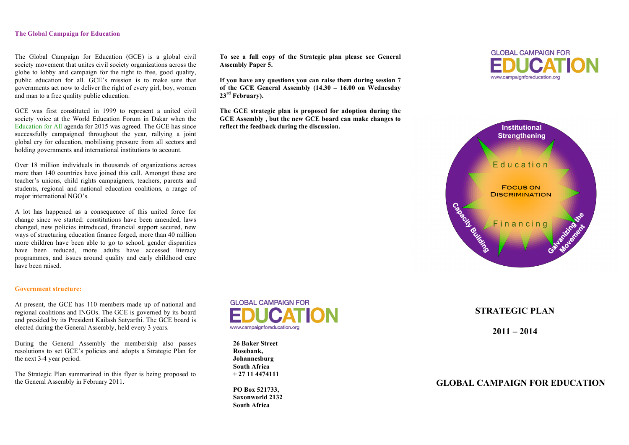#### **The Global Campaign for Education**

The Global Campaign for Education (GCE) is a global civil society movement that unites civil society organizations across the globe to lobby and campaign for the right to free, good quality, public education for all. GCE's mission is to make sure that governments act now to deliver the right of every girl, boy, women and man to a free quality public education.

GCE was first constituted in 1999 to represent a united civil society voice at the World Education Forum in Dakar when the Education for All agenda for 2015 was agreed. The GCE has since successfully campaigned throughout the year, rallying a joint global cry for education, mobilising pressure from all sectors and holding governments and international institutions to account.

Over 18 million individuals in thousands of organizations across more than 140 countries have joined this call. Amongst these are teacher's unions, child rights campaigners, teachers, parents and students, regional and national education coalitions, a range of major international NGO's.

A lot has happened as a consequence of this united force for change since we started: constitutions have been amended, laws changed, new policies introduced, financial support secured, new ways of structuring education finance forged, more than 40 million more children have been able to go to school, gender disparities have been reduced, more adults have accessed literacy programmes, and issues around quality and early childhood care have been raised.

#### **Government structure:**

At present, the GCE has 110 members made up of national and regional coalitions and INGOs. The GCE is governed by its board and presided by its President Kailash Satyarthi. The GCE board is elected during the General Assembly, held every 3 years.

During the General Assembly the membership also passes resolutions to set GCE's policies and adopts a Strategic Plan for the next 3-4 year period.

The Strategic Plan summarized in this flyer is being proposed to the General Assembly in February 2011.

**To see a full copy of the Strategic plan please see General Assembly Paper 5.**

**If you have any questions you can raise them during session 7 of the GCE General Assembly (14.30 – 16.00 on Wednesday 23rd February).**

**The GCE strategic plan is proposed for adoption during the GCE Assembly , but the new GCE board can make changes to reflect the feedback during the discussion.**



**26 Baker Street Rosebank, Johannesburg South Africa + 27 11 4474111**

**PO Box 521733, Saxonworld 2132 South Africa**

# **GLOBAL CAMPAIGN FOR** www.campaignforeducation.org



**STRATEGIC PLAN**

**2011 – 2014**

# **GLOBAL CAMPAIGN FOR EDUCATION**